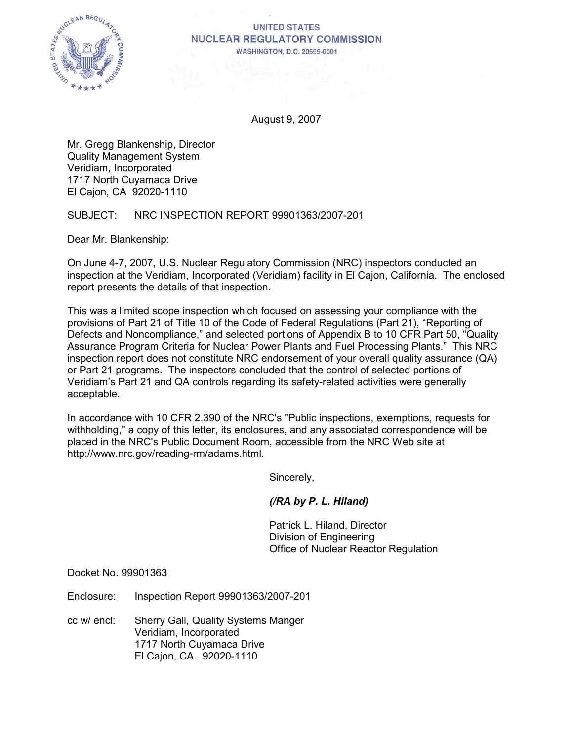

## **UNITED STATES NUCLEAR REGULATORY COMMISSION** WASHINGTON, D.C. 20555-0001

August 9, 2007

Mr. Gregg Blankenship, Director Quality Management System Veridiam, Incorporated 1717 North Cuyamaca Drive El Cajon, CA 92020-1110

SUBJECT: NRC INSPECTION REPORT 99901363/2007-201

Dear Mr. Blankenship:

On June 4-7, 2007, U.S. Nuclear Regulatory Commission (NRC) inspectors conducted an inspection at the Veridiam, Incorporated (Veridiam) facility in El Cajon, California. The enclosed report presents the details of that inspection.

This was a limited scope inspection which focused on assessing your compliance with the provisions of Part 21 of Title 10 of the Code of Federal Regulations (Part 21), "Reporting of Defects and Noncompliance," and selected portions of Appendix B to 10 CFR Part 50, "Quality Assurance Program Criteria for Nuclear Power Plants and Fuel Processing Plants." This NRC inspection report does not constitute NRC endorsement of your overall quality assurance (QA) or Part 21 programs. The inspectors concluded that the control of selected portions of Veridiam's Part 21 and QA controls regarding its safety-related activities were generally acceptable.

In accordance with 10 CFR 2.390 of the NRC's "Public inspections, exemptions, requests for withholding," a copy of this letter, its enclosures, and any associated correspondence will be placed in the NRC's Public Document Room, accessible from the NRC Web site at http://www.nrc.gov/reading-rm/adams.html.

Sincerely,

# *(/RA by P. L. Hiland)*

Patrick L. Hiland, Director Division of Engineering Office of Nuclear Reactor Regulation

Docket No. 99901363

Enclosure: Inspection Report 99901363/2007-201

cc w/ encl: Sherry Gall, Quality Systems Manger Veridiam, Incorporated 1717 North Cuyamaca Drive El Cajon, CA. 92020-1110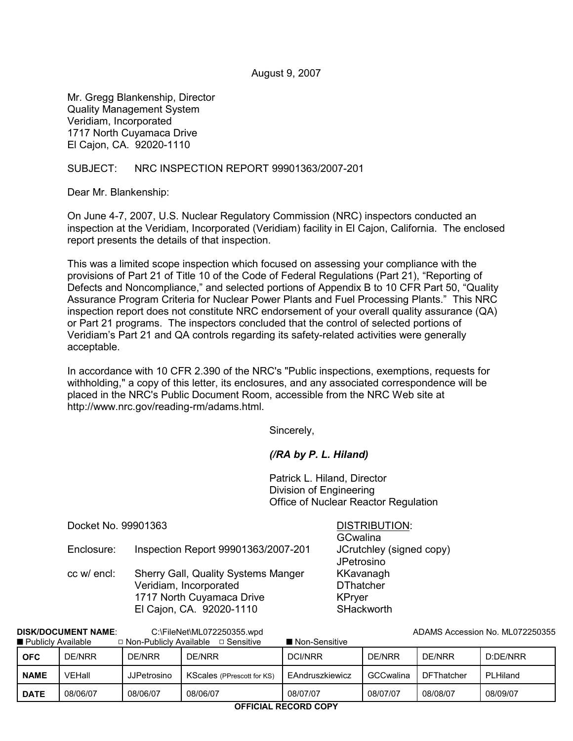#### August 9, 2007

Mr. Gregg Blankenship, Director Quality Management System Veridiam, Incorporated 1717 North Cuyamaca Drive El Cajon, CA. 92020-1110

## SUBJECT: NRC INSPECTION REPORT 99901363/2007-201

Dear Mr. Blankenship:

On June 4-7, 2007, U.S. Nuclear Regulatory Commission (NRC) inspectors conducted an inspection at the Veridiam, Incorporated (Veridiam) facility in El Cajon, California. The enclosed report presents the details of that inspection.

This was a limited scope inspection which focused on assessing your compliance with the provisions of Part 21 of Title 10 of the Code of Federal Regulations (Part 21), "Reporting of Defects and Noncompliance," and selected portions of Appendix B to 10 CFR Part 50, "Quality Assurance Program Criteria for Nuclear Power Plants and Fuel Processing Plants." This NRC inspection report does not constitute NRC endorsement of your overall quality assurance (QA) or Part 21 programs. The inspectors concluded that the control of selected portions of Veridiam's Part 21 and QA controls regarding its safety-related activities were generally acceptable.

In accordance with 10 CFR 2.390 of the NRC's "Public inspections, exemptions, requests for withholding," a copy of this letter, its enclosures, and any associated correspondence will be placed in the NRC's Public Document Room, accessible from the NRC Web site at http://www.nrc.gov/reading-rm/adams.html.

Sincerely,

## *(/RA by P. L. Hiland)*

Patrick L. Hiland, Director Division of Engineering Office of Nuclear Reactor Regulation

Docket No. 99901363 DISTRIBUTION:

Enclosure: Inspection Report 99901363/2007-201 JCrutchley (signed copy)

cc w/ encl: Sherry Gall, Quality Systems Manger KKavanagh Veridiam, Incorporated DThatcher 1717 North Cuyamaca Drive **KPryer** El Cajon, CA. 92020-1110 SHackworth

**GCwalina JPetrosino** 

| □ Non-Publicly Available<br>□ Sensitive<br>■ Non-Sensitive<br>DE/NRR<br>DE/NRR<br>DE/NRR<br>D:DE/NRR<br>DE/NRR<br><b>DCI/NRR</b><br>DE/NRR<br><b>OFC</b><br>VEHall<br><b>GCCwalina</b><br><b>DFThatcher</b><br>EAndruszkiewicz<br>PLHiland<br><b>NAME</b><br>KScales (PPrescott for KS)<br><b>JJPetrosino</b><br>08/07/07<br>08/06/07<br>08/08/07<br>08/06/07<br>08/06/07<br>08/07/07<br>08/09/07<br><b>DATE</b> | -------<br>---------- |  |  |  |  |  |  |  |  |  |
|------------------------------------------------------------------------------------------------------------------------------------------------------------------------------------------------------------------------------------------------------------------------------------------------------------------------------------------------------------------------------------------------------------------|-----------------------|--|--|--|--|--|--|--|--|--|
| ■ Publicly Available                                                                                                                                                                                                                                                                                                                                                                                             |                       |  |  |  |  |  |  |  |  |  |
|                                                                                                                                                                                                                                                                                                                                                                                                                  |                       |  |  |  |  |  |  |  |  |  |
|                                                                                                                                                                                                                                                                                                                                                                                                                  |                       |  |  |  |  |  |  |  |  |  |
|                                                                                                                                                                                                                                                                                                                                                                                                                  |                       |  |  |  |  |  |  |  |  |  |

**DISK/DOCUMENT NAME:** C:\FileNet\ML072250355.wpd ADAMS Accession No. ML072250355.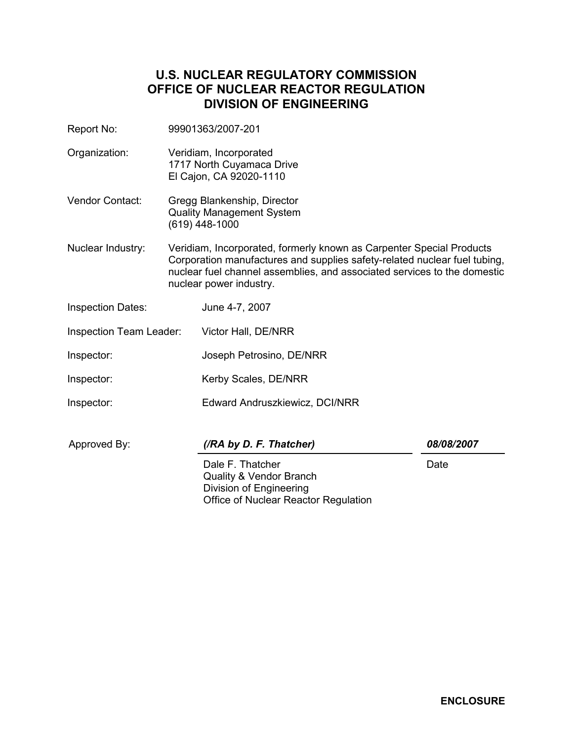# **U.S. NUCLEAR REGULATORY COMMISSION OFFICE OF NUCLEAR REACTOR REGULATION DIVISION OF ENGINEERING**

- Report No: 99901363/2007-201
- Organization: Veridiam, Incorporated 1717 North Cuyamaca Drive El Cajon, CA 92020-1110
- Vendor Contact: Gregg Blankenship, Director Quality Management System (619) 448-1000
- Nuclear Industry: Veridiam, Incorporated, formerly known as Carpenter Special Products Corporation manufactures and supplies safety-related nuclear fuel tubing, nuclear fuel channel assemblies, and associated services to the domestic nuclear power industry.
- Inspection Dates: June 4-7, 2007
- Inspection Team Leader: Victor Hall, DE/NRR
- Inspector: Joseph Petrosino, DE/NRR
- Inspector: Kerby Scales, DE/NRR
- Inspector: Edward Andruszkiewicz, DCI/NRR

| Approved By: |  |
|--------------|--|
|--------------|--|

# Approved By: *(/RA by D. F. Thatcher) 08/08/2007*

Dale F. Thatcher Quality & Vendor Branch Division of Engineering Office of Nuclear Reactor Regulation

Date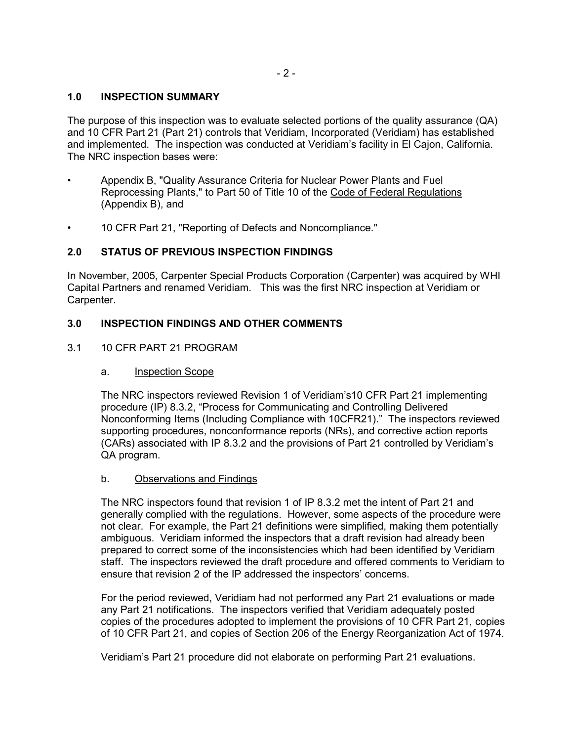## **1.0 INSPECTION SUMMARY**

The purpose of this inspection was to evaluate selected portions of the quality assurance (QA) and 10 CFR Part 21 (Part 21) controls that Veridiam, Incorporated (Veridiam) has established and implemented. The inspection was conducted at Veridiam's facility in El Cajon, California. The NRC inspection bases were:

- Appendix B, "Quality Assurance Criteria for Nuclear Power Plants and Fuel Reprocessing Plants," to Part 50 of Title 10 of the Code of Federal Regulations (Appendix B), and
- 10 CFR Part 21, "Reporting of Defects and Noncompliance."

# **2.0 STATUS OF PREVIOUS INSPECTION FINDINGS**

In November, 2005, Carpenter Special Products Corporation (Carpenter) was acquired by WHI Capital Partners and renamed Veridiam. This was the first NRC inspection at Veridiam or Carpenter.

## **3.0 INSPECTION FINDINGS AND OTHER COMMENTS**

## 3.1 10 CFR PART 21 PROGRAM

#### a. Inspection Scope

The NRC inspectors reviewed Revision 1 of Veridiam's10 CFR Part 21 implementing procedure (IP) 8.3.2, "Process for Communicating and Controlling Delivered Nonconforming Items (Including Compliance with 10CFR21)." The inspectors reviewed supporting procedures, nonconformance reports (NRs), and corrective action reports (CARs) associated with IP 8.3.2 and the provisions of Part 21 controlled by Veridiam's QA program.

## b. Observations and Findings

The NRC inspectors found that revision 1 of IP 8.3.2 met the intent of Part 21 and generally complied with the regulations. However, some aspects of the procedure were not clear. For example, the Part 21 definitions were simplified, making them potentially ambiguous. Veridiam informed the inspectors that a draft revision had already been prepared to correct some of the inconsistencies which had been identified by Veridiam staff. The inspectors reviewed the draft procedure and offered comments to Veridiam to ensure that revision 2 of the IP addressed the inspectors' concerns.

For the period reviewed, Veridiam had not performed any Part 21 evaluations or made any Part 21 notifications. The inspectors verified that Veridiam adequately posted copies of the procedures adopted to implement the provisions of 10 CFR Part 21, copies of 10 CFR Part 21, and copies of Section 206 of the Energy Reorganization Act of 1974.

Veridiam's Part 21 procedure did not elaborate on performing Part 21 evaluations.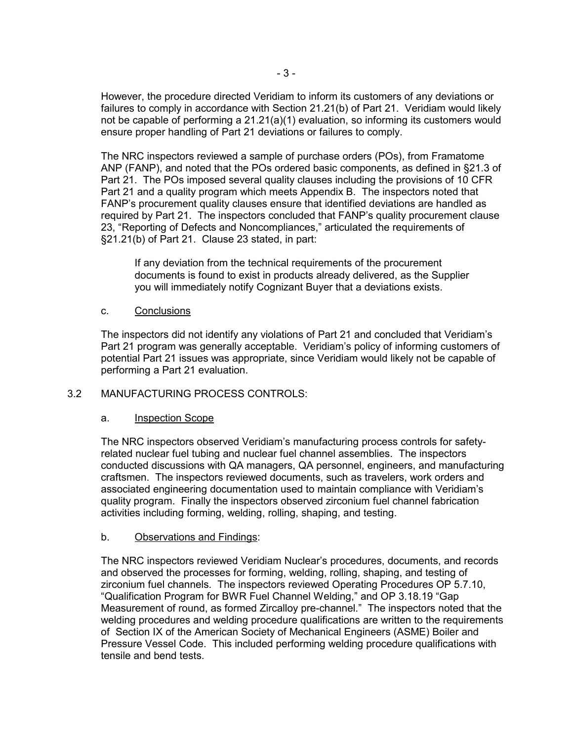However, the procedure directed Veridiam to inform its customers of any deviations or failures to comply in accordance with Section 21.21(b) of Part 21. Veridiam would likely not be capable of performing a 21.21(a)(1) evaluation, so informing its customers would ensure proper handling of Part 21 deviations or failures to comply.

The NRC inspectors reviewed a sample of purchase orders (POs), from Framatome ANP (FANP), and noted that the POs ordered basic components, as defined in §21.3 of Part 21. The POs imposed several quality clauses including the provisions of 10 CFR Part 21 and a quality program which meets Appendix B. The inspectors noted that FANP's procurement quality clauses ensure that identified deviations are handled as required by Part 21. The inspectors concluded that FANP's quality procurement clause 23, "Reporting of Defects and Noncompliances," articulated the requirements of §21.21(b) of Part 21. Clause 23 stated, in part:

If any deviation from the technical requirements of the procurement documents is found to exist in products already delivered, as the Supplier you will immediately notify Cognizant Buyer that a deviations exists.

## c. Conclusions

The inspectors did not identify any violations of Part 21 and concluded that Veridiam's Part 21 program was generally acceptable. Veridiam's policy of informing customers of potential Part 21 issues was appropriate, since Veridiam would likely not be capable of performing a Part 21 evaluation.

# 3.2 MANUFACTURING PROCESS CONTROLS:

## a. Inspection Scope

The NRC inspectors observed Veridiam's manufacturing process controls for safetyrelated nuclear fuel tubing and nuclear fuel channel assemblies. The inspectors conducted discussions with QA managers, QA personnel, engineers, and manufacturing craftsmen. The inspectors reviewed documents, such as travelers, work orders and associated engineering documentation used to maintain compliance with Veridiam's quality program. Finally the inspectors observed zirconium fuel channel fabrication activities including forming, welding, rolling, shaping, and testing.

# b. Observations and Findings:

The NRC inspectors reviewed Veridiam Nuclear's procedures, documents, and records and observed the processes for forming, welding, rolling, shaping, and testing of zirconium fuel channels. The inspectors reviewed Operating Procedures OP 5.7.10, "Qualification Program for BWR Fuel Channel Welding," and OP 3.18.19 "Gap Measurement of round, as formed Zircalloy pre-channel." The inspectors noted that the welding procedures and welding procedure qualifications are written to the requirements of Section IX of the American Society of Mechanical Engineers (ASME) Boiler and Pressure Vessel Code. This included performing welding procedure qualifications with tensile and bend tests.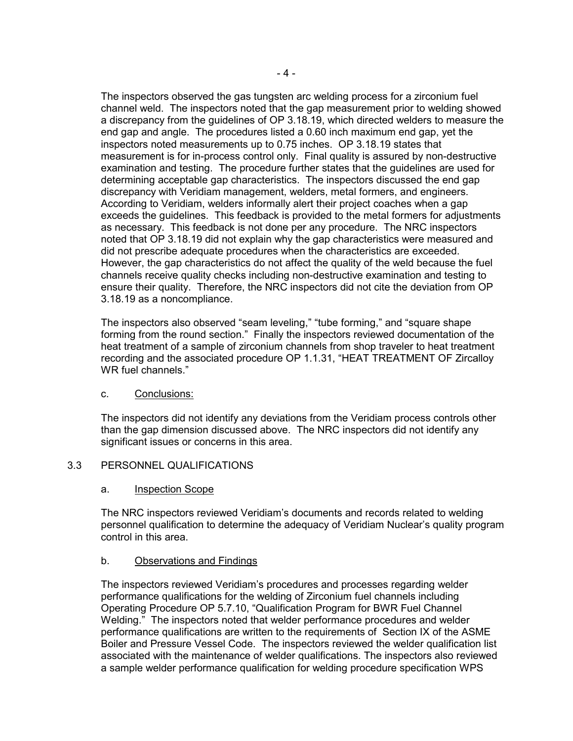The inspectors observed the gas tungsten arc welding process for a zirconium fuel channel weld. The inspectors noted that the gap measurement prior to welding showed a discrepancy from the guidelines of OP 3.18.19, which directed welders to measure the end gap and angle. The procedures listed a 0.60 inch maximum end gap, yet the inspectors noted measurements up to 0.75 inches. OP 3.18.19 states that measurement is for in-process control only. Final quality is assured by non-destructive examination and testing. The procedure further states that the guidelines are used for determining acceptable gap characteristics. The inspectors discussed the end gap discrepancy with Veridiam management, welders, metal formers, and engineers. According to Veridiam, welders informally alert their project coaches when a gap exceeds the guidelines. This feedback is provided to the metal formers for adjustments as necessary. This feedback is not done per any procedure. The NRC inspectors noted that OP 3.18.19 did not explain why the gap characteristics were measured and did not prescribe adequate procedures when the characteristics are exceeded. However, the gap characteristics do not affect the quality of the weld because the fuel channels receive quality checks including non-destructive examination and testing to ensure their quality. Therefore, the NRC inspectors did not cite the deviation from OP 3.18.19 as a noncompliance.

The inspectors also observed "seam leveling," "tube forming," and "square shape forming from the round section." Finally the inspectors reviewed documentation of the heat treatment of a sample of zirconium channels from shop traveler to heat treatment recording and the associated procedure OP 1.1.31, "HEAT TREATMENT OF Zircalloy WR fuel channels."

## c. Conclusions:

The inspectors did not identify any deviations from the Veridiam process controls other than the gap dimension discussed above. The NRC inspectors did not identify any significant issues or concerns in this area.

# 3.3 PERSONNEL QUALIFICATIONS

## a. Inspection Scope

The NRC inspectors reviewed Veridiam's documents and records related to welding personnel qualification to determine the adequacy of Veridiam Nuclear's quality program control in this area.

# b. Observations and Findings

The inspectors reviewed Veridiam's procedures and processes regarding welder performance qualifications for the welding of Zirconium fuel channels including Operating Procedure OP 5.7.10, "Qualification Program for BWR Fuel Channel Welding." The inspectors noted that welder performance procedures and welder performance qualifications are written to the requirements of Section IX of the ASME Boiler and Pressure Vessel Code. The inspectors reviewed the welder qualification list associated with the maintenance of welder qualifications. The inspectors also reviewed a sample welder performance qualification for welding procedure specification WPS